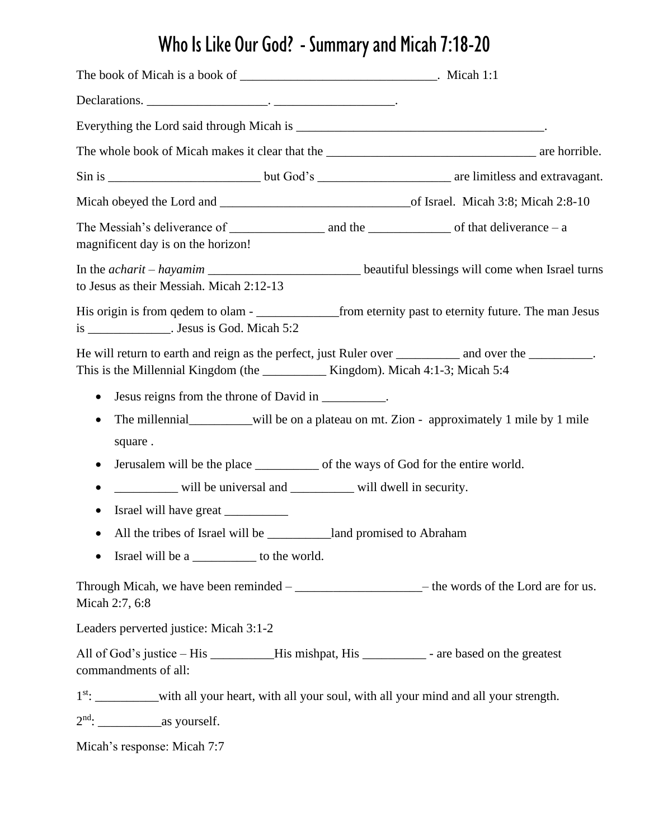## Who Is Like Our God? - Summary and Micah 7:18-20

| The Messiah's deliverance of $\frac{1}{\sqrt{1-\frac{1}{\sqrt{1-\frac{1}{\sqrt{1-\frac{1}{\sqrt{1-\frac{1}{\sqrt{1-\frac{1}{\sqrt{1-\frac{1}{\sqrt{1-\frac{1}{\sqrt{1-\frac{1}{\sqrt{1-\frac{1}{\sqrt{1-\frac{1}{\sqrt{1-\frac{1}{\sqrt{1-\frac{1}{\sqrt{1-\frac{1}{\sqrt{1-\frac{1}{\sqrt{1-\frac{1}{\sqrt{1-\frac{1}{\sqrt{1-\frac{1}{\sqrt{1-\frac{1}{\sqrt{1-\frac{1}{\sqrt{1-\frac{1}{\sqrt{1-\frac$<br>magnificent day is on the horizon! |                                                                                             |
|-------------------------------------------------------------------------------------------------------------------------------------------------------------------------------------------------------------------------------------------------------------------------------------------------------------------------------------------------------------------------------------------------------------------------------------------------|---------------------------------------------------------------------------------------------|
| In the <i>acharit – hayamim</i> _________________________________beautiful blessings will come when Israel turns<br>to Jesus as their Messiah. Micah 2:12-13                                                                                                                                                                                                                                                                                    |                                                                                             |
| is ________________. Jesus is God. Micah 5:2                                                                                                                                                                                                                                                                                                                                                                                                    |                                                                                             |
| This is the Millennial Kingdom (the _____________ Kingdom). Micah 4:1-3; Micah 5:4<br>Jesus reigns from the throne of David in __________.<br>$\bullet$<br>square.<br>Jerusalem will be the place ______________ of the ways of God for the entire world.<br>$\bullet$<br>will be universal and ________ will dwell in security.<br>Israel will have great<br>$\bullet$<br>Israel will be a ___________ to the world.                           | The millennial____________will be on a plateau on mt. Zion - approximately 1 mile by 1 mile |
| Through Micah, we have been reminded – _________________________________ the words of the Lord are for us.<br>Micah 2:7, 6:8                                                                                                                                                                                                                                                                                                                    |                                                                                             |
| Leaders perverted justice: Micah 3:1-2                                                                                                                                                                                                                                                                                                                                                                                                          |                                                                                             |
| All of God's justice – His __________His mishpat, His ____________ - are based on the greatest<br>commandments of all:                                                                                                                                                                                                                                                                                                                          |                                                                                             |
| 1 <sup>st</sup> : _____________with all your heart, with all your soul, with all your mind and all your strength.                                                                                                                                                                                                                                                                                                                               |                                                                                             |
|                                                                                                                                                                                                                                                                                                                                                                                                                                                 |                                                                                             |
| Micah's response: Micah 7:7                                                                                                                                                                                                                                                                                                                                                                                                                     |                                                                                             |